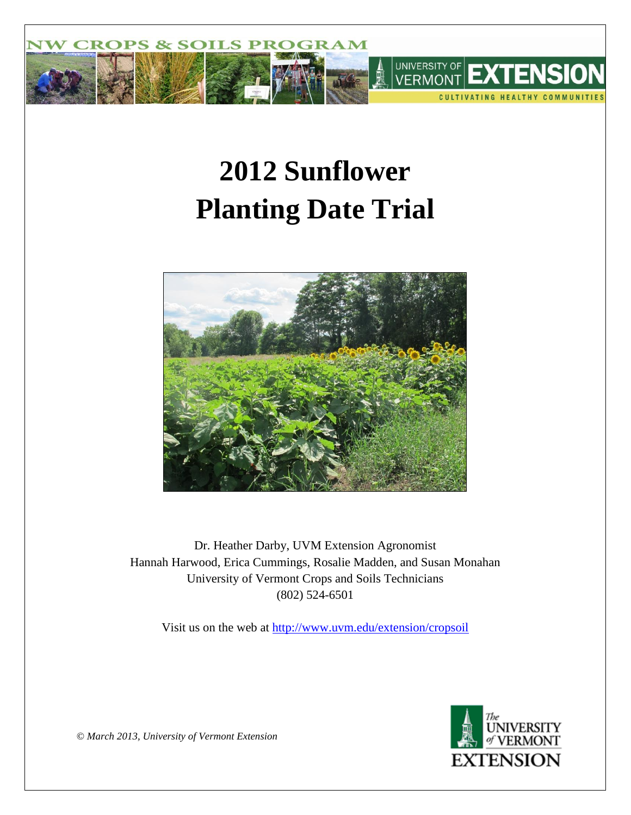

# **2012 Sunflower Planting Date Trial**



Dr. Heather Darby, UVM Extension Agronomist Hannah Harwood, Erica Cummings, Rosalie Madden, and Susan Monahan University of Vermont Crops and Soils Technicians (802) 524-6501

Visit us on the web at<http://www.uvm.edu/extension/cropsoil>



*© March 2013, University of Vermont Extension*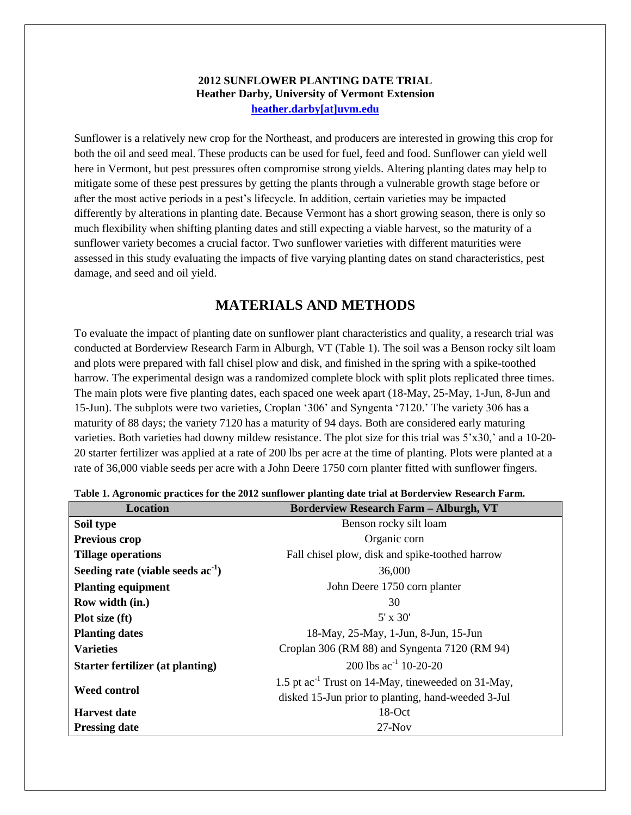## **2012 SUNFLOWER PLANTING DATE TRIAL Heather Darby, University of Vermont Extension [heather.darby\[at\]uvm.edu](mailto:Heather.Darby@uvm.edu?subject=2012%20Sunflower%20Planting%20Date%20Trial)**

Sunflower is a relatively new crop for the Northeast, and producers are interested in growing this crop for both the oil and seed meal. These products can be used for fuel, feed and food. Sunflower can yield well here in Vermont, but pest pressures often compromise strong yields. Altering planting dates may help to mitigate some of these pest pressures by getting the plants through a vulnerable growth stage before or after the most active periods in a pest's lifecycle. In addition, certain varieties may be impacted differently by alterations in planting date. Because Vermont has a short growing season, there is only so much flexibility when shifting planting dates and still expecting a viable harvest, so the maturity of a sunflower variety becomes a crucial factor. Two sunflower varieties with different maturities were assessed in this study evaluating the impacts of five varying planting dates on stand characteristics, pest damage, and seed and oil yield.

# **MATERIALS AND METHODS**

To evaluate the impact of planting date on sunflower plant characteristics and quality, a research trial was conducted at Borderview Research Farm in Alburgh, VT (Table 1). The soil was a Benson rocky silt loam and plots were prepared with fall chisel plow and disk, and finished in the spring with a spike-toothed harrow. The experimental design was a randomized complete block with split plots replicated three times. The main plots were five planting dates, each spaced one week apart (18-May, 25-May, 1-Jun, 8-Jun and 15-Jun). The subplots were two varieties, Croplan '306' and Syngenta '7120.' The variety 306 has a maturity of 88 days; the variety 7120 has a maturity of 94 days. Both are considered early maturing varieties. Both varieties had downy mildew resistance. The plot size for this trial was 5'x30,' and a 10-20- 20 starter fertilizer was applied at a rate of 200 lbs per acre at the time of planting. Plots were planted at a rate of 36,000 viable seeds per acre with a John Deere 1750 corn planter fitted with sunflower fingers.

| <b>Location</b>                     | <b>Borderview Research Farm - Alburgh, VT</b>                  |
|-------------------------------------|----------------------------------------------------------------|
| Soil type                           | Benson rocky silt loam                                         |
| Previous crop                       | Organic corn                                                   |
| <b>Tillage operations</b>           | Fall chisel plow, disk and spike-toothed harrow                |
| Seeding rate (viable seeds $ac-1$ ) | 36,000                                                         |
| <b>Planting equipment</b>           | John Deere 1750 corn planter                                   |
| Row width (in.)                     | 30                                                             |
| Plot size (ft)                      | $5' \times 30'$                                                |
| <b>Planting dates</b>               | 18-May, 25-May, 1-Jun, 8-Jun, 15-Jun                           |
| <b>Varieties</b>                    | Croplan 306 (RM 88) and Syngenta 7120 (RM 94)                  |
| Starter fertilizer (at planting)    | 200 lbs $ac^{-1}$ 10-20-20                                     |
|                                     | 1.5 pt ac <sup>-1</sup> Trust on 14-May, tineweeded on 31-May, |
| <b>Weed control</b>                 | disked 15-Jun prior to planting, hand-weeded 3-Jul             |
| <b>Harvest date</b>                 | $18$ -Oct                                                      |
| <b>Pressing date</b>                | $27-Nov$                                                       |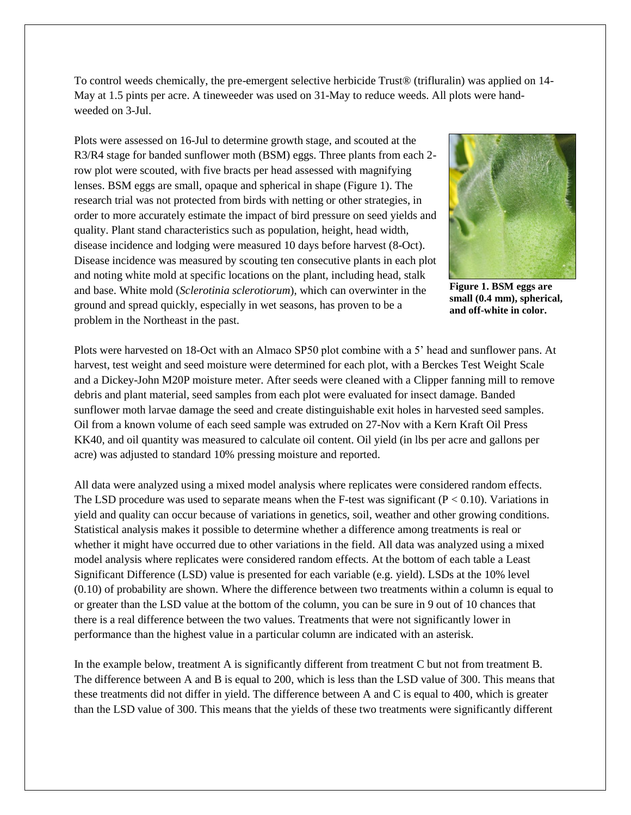To control weeds chemically, the pre-emergent selective herbicide Trust® (trifluralin) was applied on 14- May at 1.5 pints per acre. A tineweeder was used on 31-May to reduce weeds. All plots were handweeded on 3-Jul.

Plots were assessed on 16-Jul to determine growth stage, and scouted at the R3/R4 stage for banded sunflower moth (BSM) eggs. Three plants from each 2 row plot were scouted, with five bracts per head assessed with magnifying lenses. BSM eggs are small, opaque and spherical in shape (Figure 1). The research trial was not protected from birds with netting or other strategies, in order to more accurately estimate the impact of bird pressure on seed yields and quality. Plant stand characteristics such as population, height, head width, disease incidence and lodging were measured 10 days before harvest (8-Oct). Disease incidence was measured by scouting ten consecutive plants in each plot and noting white mold at specific locations on the plant, including head, stalk and base. White mold (*Sclerotinia sclerotiorum*), which can overwinter in the ground and spread quickly, especially in wet seasons, has proven to be a problem in the Northeast in the past.



**Figure 1. BSM eggs are small (0.4 mm), spherical, and off-white in color.**

Plots were harvested on 18-Oct with an Almaco SP50 plot combine with a 5' head and sunflower pans. At harvest, test weight and seed moisture were determined for each plot, with a Berckes Test Weight Scale and a Dickey-John M20P moisture meter. After seeds were cleaned with a Clipper fanning mill to remove debris and plant material, seed samples from each plot were evaluated for insect damage. Banded sunflower moth larvae damage the seed and create distinguishable exit holes in harvested seed samples. Oil from a known volume of each seed sample was extruded on 27-Nov with a Kern Kraft Oil Press KK40, and oil quantity was measured to calculate oil content. Oil yield (in lbs per acre and gallons per acre) was adjusted to standard 10% pressing moisture and reported.

All data were analyzed using a mixed model analysis where replicates were considered random effects. The LSD procedure was used to separate means when the F-test was significant  $(P < 0.10)$ . Variations in yield and quality can occur because of variations in genetics, soil, weather and other growing conditions. Statistical analysis makes it possible to determine whether a difference among treatments is real or whether it might have occurred due to other variations in the field. All data was analyzed using a mixed model analysis where replicates were considered random effects. At the bottom of each table a Least Significant Difference (LSD) value is presented for each variable (e.g. yield). LSDs at the 10% level (0.10) of probability are shown. Where the difference between two treatments within a column is equal to or greater than the LSD value at the bottom of the column, you can be sure in 9 out of 10 chances that there is a real difference between the two values. Treatments that were not significantly lower in performance than the highest value in a particular column are indicated with an asterisk.

In the example below, treatment A is significantly different from treatment C but not from treatment B. The difference between A and B is equal to 200, which is less than the LSD value of 300. This means that these treatments did not differ in yield. The difference between A and C is equal to 400, which is greater than the LSD value of 300. This means that the yields of these two treatments were significantly different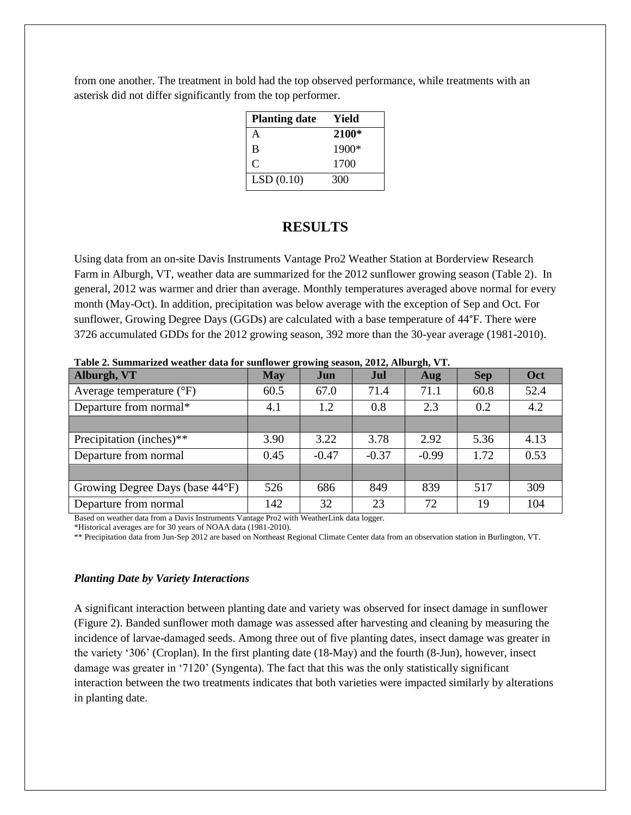from one another. The treatment in bold had the top observed performance, while treatments with an asterisk did not differ significantly from the top performer.

| <b>Planting date</b> | Yield   |
|----------------------|---------|
| A                    | 2100*   |
| B                    | $1900*$ |
| C                    | 1700    |
| LSD(0.10)            | 300     |

# **RESULTS**

Using data from an on-site Davis Instruments Vantage Pro2 Weather Station at Borderview Research Farm in Alburgh, VT, weather data are summarized for the 2012 sunflower growing season (Table 2). In general, 2012 was warmer and drier than average. Monthly temperatures averaged above normal for every month (May-Oct). In addition, precipitation was below average with the exception of Sep and Oct. For sunflower, Growing Degree Days (GGDs) are calculated with a base temperature of 44°F. There were 3726 accumulated GDDs for the 2012 growing season, 392 more than the 30-year average (1981-2010).

| Alburgh, VT                         | <b>May</b> | Jun     | Jul     | Aug     | <b>Sep</b> | Oct  |
|-------------------------------------|------------|---------|---------|---------|------------|------|
| Average temperature $({}^{\circ}F)$ | 60.5       | 67.0    | 71.4    | 71.1    | 60.8       | 52.4 |
| Departure from normal*              | 4.1        | 1.2     | 0.8     | 2.3     | 0.2        | 4.2  |
|                                     |            |         |         |         |            |      |
| Precipitation (inches)**            | 3.90       | 3.22    | 3.78    | 2.92    | 5.36       | 4.13 |
| Departure from normal               | 0.45       | $-0.47$ | $-0.37$ | $-0.99$ | 1.72       | 0.53 |
|                                     |            |         |         |         |            |      |
| Growing Degree Days (base 44°F)     | 526        | 686     | 849     | 839     | 517        | 309  |
| Departure from normal               | 142        | 32      | 23      | 72      | 19         | 104  |

**Table 2. Summarized weather data for sunflower growing season, 2012, Alburgh, VT.**

Based on weather data from a Davis Instruments Vantage Pro2 with WeatherLink data logger.

\*Historical averages are for 30 years of NOAA data (1981-2010).

\*\* Precipitation data from Jun-Sep 2012 are based on Northeast Regional Climate Center data from an observation station in Burlington, VT.

### *Planting Date by Variety Interactions*

A significant interaction between planting date and variety was observed for insect damage in sunflower (Figure 2). Banded sunflower moth damage was assessed after harvesting and cleaning by measuring the incidence of larvae-damaged seeds. Among three out of five planting dates, insect damage was greater in the variety '306' (Croplan). In the first planting date (18-May) and the fourth (8-Jun), however, insect damage was greater in '7120' (Syngenta). The fact that this was the only statistically significant interaction between the two treatments indicates that both varieties were impacted similarly by alterations in planting date.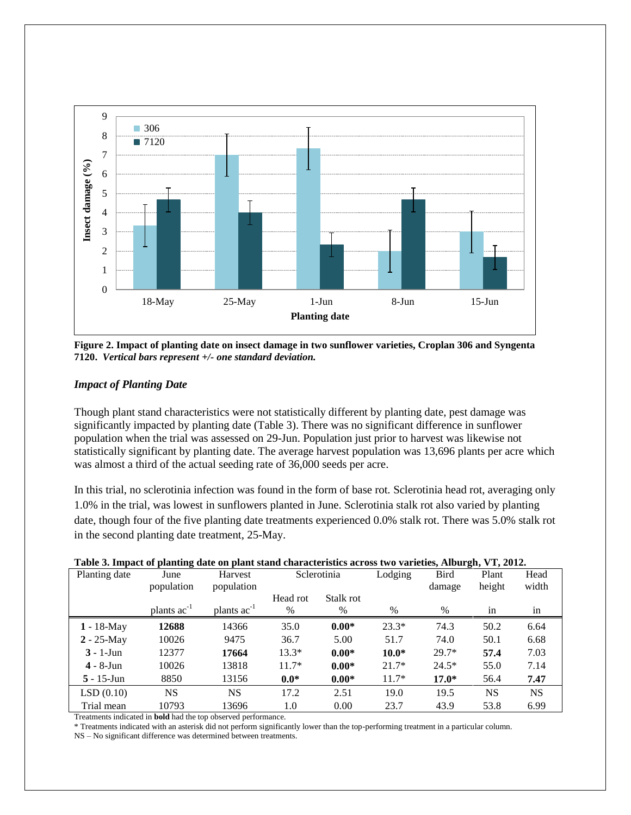

**Figure 2. Impact of planting date on insect damage in two sunflower varieties, Croplan 306 and Syngenta 7120.** *Vertical bars represent +/- one standard deviation.*

## *Impact of Planting Date*

Though plant stand characteristics were not statistically different by planting date, pest damage was significantly impacted by planting date (Table 3). There was no significant difference in sunflower population when the trial was assessed on 29-Jun. Population just prior to harvest was likewise not statistically significant by planting date. The average harvest population was 13,696 plants per acre which was almost a third of the actual seeding rate of 36,000 seeds per acre.

In this trial, no sclerotinia infection was found in the form of base rot. Sclerotinia head rot, averaging only 1.0% in the trial, was lowest in sunflowers planted in June. Sclerotinia stalk rot also varied by planting date, though four of the five planting date treatments experienced 0.0% stalk rot. There was 5.0% stalk rot in the second planting date treatment, 25-May.

| Table of Impact of planting uate on plant stand enaracteristics across two varieties, mourgit, v 1, 2012. |                         |                         |          |             |         |             |        |           |
|-----------------------------------------------------------------------------------------------------------|-------------------------|-------------------------|----------|-------------|---------|-------------|--------|-----------|
| Planting date                                                                                             | June                    | Harvest                 |          | Sclerotinia |         | <b>Bird</b> | Plant  | Head      |
|                                                                                                           | population              | population              |          |             |         | damage      | height | width     |
|                                                                                                           |                         |                         | Head rot | Stalk rot   |         |             |        |           |
|                                                                                                           | plants ac <sup>-1</sup> | plants ac <sup>-1</sup> | $\%$     | %           | $\%$    | $\%$        | 1n     | 1n        |
| $1 - 18$ -May                                                                                             | 12688                   | 14366                   | 35.0     | $0.00*$     | $23.3*$ | 74.3        | 50.2   | 6.64      |
| $2 - 25$ -May                                                                                             | 10026                   | 9475                    | 36.7     | 5.00        | 51.7    | 74.0        | 50.1   | 6.68      |
| $3 - 1$ -Jun                                                                                              | 12377                   | 17664                   | $13.3*$  | $0.00*$     | $10.0*$ | $29.7*$     | 57.4   | 7.03      |
| $4 - 8$ -Jun                                                                                              | 10026                   | 13818                   | $11.7*$  | $0.00*$     | $21.7*$ | $24.5*$     | 55.0   | 7.14      |
| $5 - 15$ -Jun                                                                                             | 8850                    | 13156                   | $0.0*$   | $0.00*$     | $11.7*$ | $17.0*$     | 56.4   | 7.47      |
| LSD(0.10)                                                                                                 | NS.                     | <b>NS</b>               | 17.2     | 2.51        | 19.0    | 19.5        | NS     | <b>NS</b> |
| Trial mean                                                                                                | 10793                   | 13696                   | 1.0      | 0.00        | 23.7    | 43.9        | 53.8   | 6.99      |

#### **Table 3. Impact of planting date on plant stand characteristics across two varieties, Alburgh, VT, 2012.**

Treatments indicated in **bold** had the top observed performance.

\* Treatments indicated with an asterisk did not perform significantly lower than the top-performing treatment in a particular column.

NS – No significant difference was determined between treatments.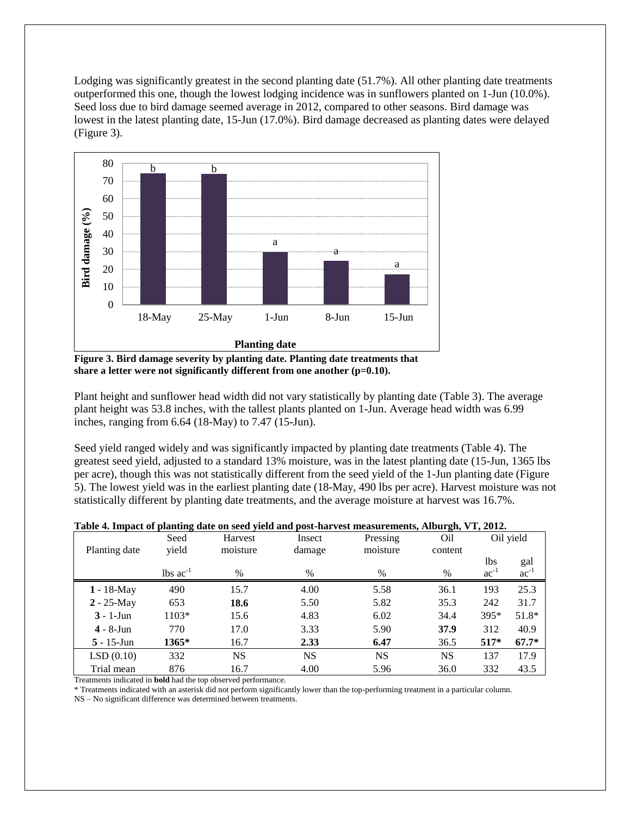Lodging was significantly greatest in the second planting date (51.7%). All other planting date treatments outperformed this one, though the lowest lodging incidence was in sunflowers planted on 1-Jun (10.0%). Seed loss due to bird damage seemed average in 2012, compared to other seasons. Bird damage was lowest in the latest planting date, 15-Jun (17.0%). Bird damage decreased as planting dates were delayed (Figure 3).



**Figure 3. Bird damage severity by planting date. Planting date treatments that**  share a letter were not significantly different from one another (p=0.10).

Plant height and sunflower head width did not vary statistically by planting date (Table 3). The average plant height was 53.8 inches, with the tallest plants planted on 1-Jun. Average head width was 6.99 inches, ranging from 6.64 (18-May) to 7.47 (15-Jun).

Seed yield ranged widely and was significantly impacted by planting date treatments (Table 4). The greatest seed yield, adjusted to a standard 13% moisture, was in the latest planting date (15-Jun, 1365 lbs per acre), though this was not statistically different from the seed yield of the 1-Jun planting date (Figure 5). The lowest yield was in the earliest planting date (18-May, 490 lbs per acre). Harvest moisture was not statistically different by planting date treatments, and the average moisture at harvest was 16.7%.

| Table 4. Impact of planting date on seed yield and post-harvest measurements, Alburgh, VT, 2012. |
|--------------------------------------------------------------------------------------------------|
|--------------------------------------------------------------------------------------------------|

|               | Seed                          | Harvest   | Insect    | Pressing  | -ə-,<br>Oil |           | Oil yield |
|---------------|-------------------------------|-----------|-----------|-----------|-------------|-----------|-----------|
| Planting date | yield                         | moisture  | damage    | moisture  | content     |           |           |
|               |                               |           |           |           |             | 1bs       | gal       |
|               | $\text{lbs}$ ac <sup>-1</sup> | %         | $\%$      | $\%$      | %           | $ac^{-1}$ | $ac^{-1}$ |
| $1 - 18$ -May | 490                           | 15.7      | 4.00      | 5.58      | 36.1        | 193       | 25.3      |
| $2 - 25$ -May | 653                           | 18.6      | 5.50      | 5.82      | 35.3        | 242       | 31.7      |
| $3 - 1$ -Jun  | $1103*$                       | 15.6      | 4.83      | 6.02      | 34.4        | 395*      | $51.8*$   |
| $4 - 8$ -Jun  | 770                           | 17.0      | 3.33      | 5.90      | 37.9        | 312       | 40.9      |
| $5 - 15$ -Jun | 1365*                         | 16.7      | 2.33      | 6.47      | 36.5        | $517*$    | $67.7*$   |
| LSD(0.10)     | 332                           | <b>NS</b> | <b>NS</b> | <b>NS</b> | <b>NS</b>   | 137       | 17.9      |
| Trial mean    | 876                           | 16.7      | 4.00      | 5.96      | 36.0        | 332       | 43.5      |

Treatments indicated in **bold** had the top observed performance.

\* Treatments indicated with an asterisk did not perform significantly lower than the top-performing treatment in a particular column.

NS – No significant difference was determined between treatments.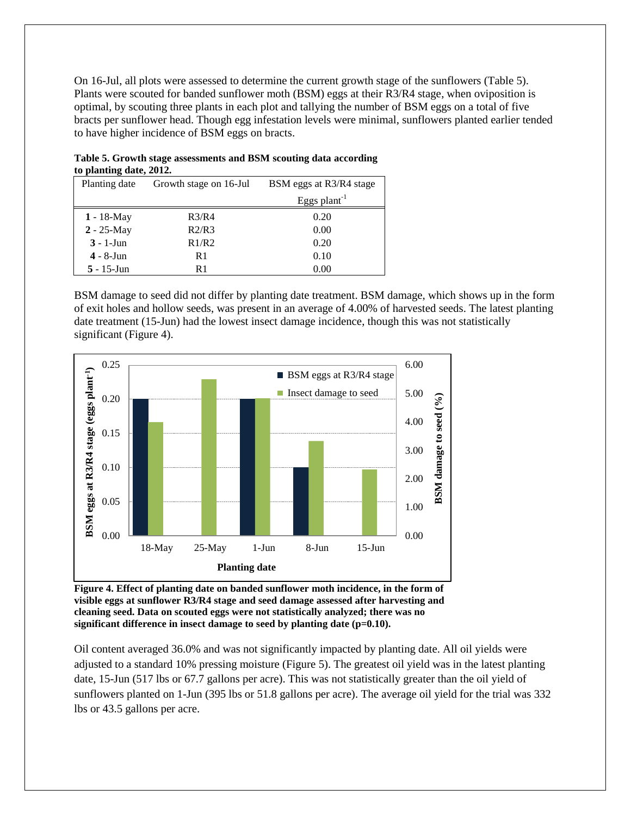On 16-Jul, all plots were assessed to determine the current growth stage of the sunflowers (Table 5). Plants were scouted for banded sunflower moth (BSM) eggs at their R3/R4 stage, when oviposition is optimal, by scouting three plants in each plot and tallying the number of BSM eggs on a total of five bracts per sunflower head. Though egg infestation levels were minimal, sunflowers planted earlier tended to have higher incidence of BSM eggs on bracts.

| to planting date, 2012. |                        |                          |
|-------------------------|------------------------|--------------------------|
| Planting date           | Growth stage on 16-Jul | BSM eggs at R3/R4 stage  |
|                         |                        | Eggs plant <sup>-1</sup> |
| $1 - 18$ -May           | R3/R4                  | 0.20                     |
| $2 - 25$ -May           | R2/R3                  | 0.00                     |
| $3 - 1$ -Jun            | R1/R2                  | 0.20                     |
| $4 - 8$ -Jun            | R1                     | 0.10                     |
| $5 - 15$ -Jun           | R1                     | 0.00                     |

**Table 5. Growth stage assessments and BSM scouting data according to planting date, 2012.**

BSM damage to seed did not differ by planting date treatment. BSM damage, which shows up in the form of exit holes and hollow seeds, was present in an average of 4.00% of harvested seeds. The latest planting date treatment (15-Jun) had the lowest insect damage incidence, though this was not statistically significant (Figure 4).



**Figure 4. Effect of planting date on banded sunflower moth incidence, in the form of visible eggs at sunflower R3/R4 stage and seed damage assessed after harvesting and cleaning seed. Data on scouted eggs were not statistically analyzed; there was no significant difference in insect damage to seed by planting date (p=0.10).**

Oil content averaged 36.0% and was not significantly impacted by planting date. All oil yields were adjusted to a standard 10% pressing moisture (Figure 5). The greatest oil yield was in the latest planting date, 15-Jun (517 lbs or 67.7 gallons per acre). This was not statistically greater than the oil yield of sunflowers planted on 1-Jun (395 lbs or 51.8 gallons per acre). The average oil yield for the trial was 332 lbs or 43.5 gallons per acre.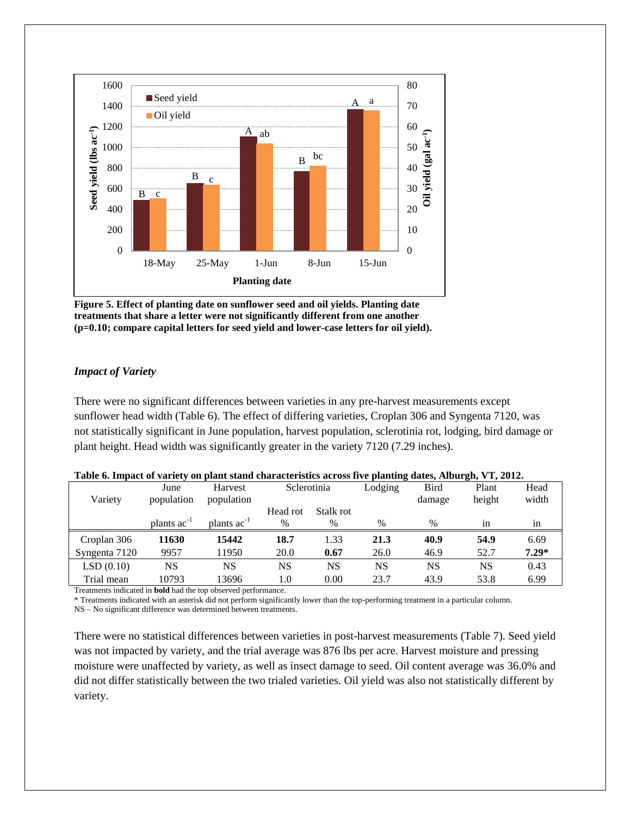

**Figure 5. Effect of planting date on sunflower seed and oil yields. Planting date treatments that share a letter were not significantly different from one another (p=0.10; compare capital letters for seed yield and lower-case letters for oil yield).**

## *Impact of Variety*

There were no significant differences between varieties in any pre-harvest measurements except sunflower head width (Table 6). The effect of differing varieties, Croplan 306 and Syngenta 7120, was not statistically significant in June population, harvest population, sclerotinia rot, lodging, bird damage or plant height. Head width was significantly greater in the variety 7120 (7.29 inches).

|               | $\mathbf{v}$     |                  |               |           |         | $\mu$       |        |         |
|---------------|------------------|------------------|---------------|-----------|---------|-------------|--------|---------|
|               | June             | Harvest          | Sclerotinia   |           | Lodging | <b>Bird</b> | Plant  | Head    |
| Variety       | population       | population       |               |           |         | damage      | height | width   |
|               |                  |                  | Head rot      | Stalk rot |         |             |        |         |
|               | plants $ac^{-1}$ | plants $ac^{-1}$ | $\frac{0}{0}$ | %         | $\%$    | $\%$        | 1n     | in      |
| Croplan 306   | 11630            | 15442            | 18.7          | 1.33      | 21.3    | 40.9        | 54.9   | 6.69    |
| Syngenta 7120 | 9957             | 11950            | 20.0          | 0.67      | 26.0    | 46.9        | 52.7   | $7.29*$ |
| LSD(0.10)     | NS               | NS               | NS            | NS        | NS      | NS          | NS     | 0.43    |
| Trial mean    | 10793            | 13696            | 1.0           | 0.00      | 23.7    | 43.9        | 53.8   | 6.99    |

## **Table 6. Impact of variety on plant stand characteristics across five planting dates, Alburgh, VT, 2012.**

Treatments indicated in **bold** had the top observed performance.

\* Treatments indicated with an asterisk did not perform significantly lower than the top-performing treatment in a particular column.

NS – No significant difference was determined between treatments.

There were no statistical differences between varieties in post-harvest measurements (Table 7). Seed yield was not impacted by variety, and the trial average was 876 lbs per acre. Harvest moisture and pressing moisture were unaffected by variety, as well as insect damage to seed. Oil content average was 36.0% and did not differ statistically between the two trialed varieties. Oil yield was also not statistically different by variety.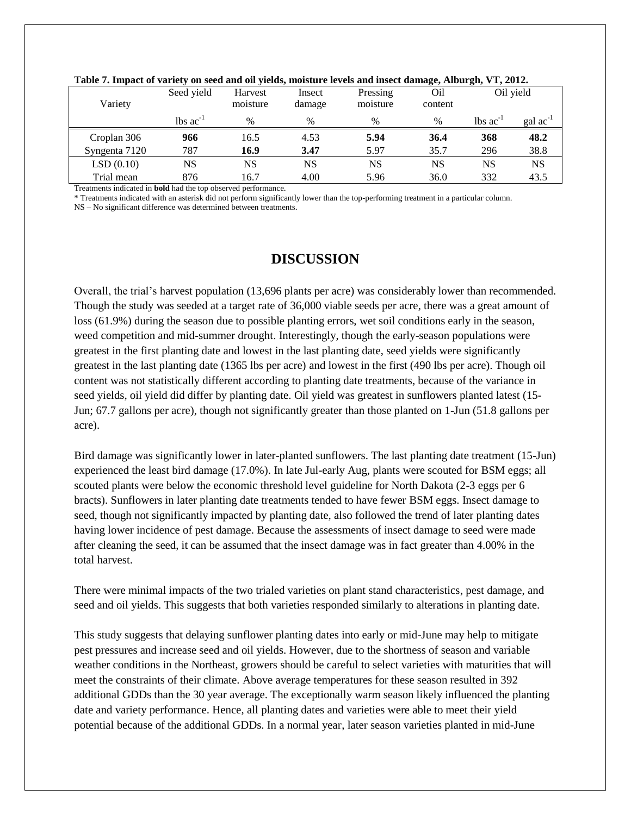|               | Seed yield                    | Harvest  | Insect | Pressing | Oil     | Oil yield                     |                      |
|---------------|-------------------------------|----------|--------|----------|---------|-------------------------------|----------------------|
| Variety       |                               | moisture | damage | moisture | content |                               |                      |
|               | $\text{lbs}$ ac <sup>-1</sup> | $\%$     | $\%$   | %        | $\%$    | $\text{lbs}$ ac <sup>-1</sup> | $\text{gal ac}^{-1}$ |
| Croplan 306   | 966                           | 16.5     | 4.53   | 5.94     | 36.4    | 368                           | 48.2                 |
| Syngenta 7120 | 787                           | 16.9     | 3.47   | 5.97     | 35.7    | 296                           | 38.8                 |
| LSD(0.10)     | NS                            | NS       | NS     | NS       | NS      | NS                            | <b>NS</b>            |
| Trial mean    | 876                           | 16.7     | 4.00   | 5.96     | 36.0    | 332                           | 43.5                 |

#### **Table 7. Impact of variety on seed and oil yields, moisture levels and insect damage, Alburgh, VT, 2012.**

Treatments indicated in **bold** had the top observed performance.

\* Treatments indicated with an asterisk did not perform significantly lower than the top-performing treatment in a particular column.

NS – No significant difference was determined between treatments.

# **DISCUSSION**

Overall, the trial's harvest population (13,696 plants per acre) was considerably lower than recommended. Though the study was seeded at a target rate of 36,000 viable seeds per acre, there was a great amount of loss (61.9%) during the season due to possible planting errors, wet soil conditions early in the season, weed competition and mid-summer drought. Interestingly, though the early-season populations were greatest in the first planting date and lowest in the last planting date, seed yields were significantly greatest in the last planting date (1365 lbs per acre) and lowest in the first (490 lbs per acre). Though oil content was not statistically different according to planting date treatments, because of the variance in seed yields, oil yield did differ by planting date. Oil yield was greatest in sunflowers planted latest (15- Jun; 67.7 gallons per acre), though not significantly greater than those planted on 1-Jun (51.8 gallons per acre).

Bird damage was significantly lower in later-planted sunflowers. The last planting date treatment (15-Jun) experienced the least bird damage (17.0%). In late Jul-early Aug, plants were scouted for BSM eggs; all scouted plants were below the economic threshold level guideline for North Dakota (2-3 eggs per 6 bracts). Sunflowers in later planting date treatments tended to have fewer BSM eggs. Insect damage to seed, though not significantly impacted by planting date, also followed the trend of later planting dates having lower incidence of pest damage. Because the assessments of insect damage to seed were made after cleaning the seed, it can be assumed that the insect damage was in fact greater than 4.00% in the total harvest.

There were minimal impacts of the two trialed varieties on plant stand characteristics, pest damage, and seed and oil yields. This suggests that both varieties responded similarly to alterations in planting date.

This study suggests that delaying sunflower planting dates into early or mid-June may help to mitigate pest pressures and increase seed and oil yields. However, due to the shortness of season and variable weather conditions in the Northeast, growers should be careful to select varieties with maturities that will meet the constraints of their climate. Above average temperatures for these season resulted in 392 additional GDDs than the 30 year average. The exceptionally warm season likely influenced the planting date and variety performance. Hence, all planting dates and varieties were able to meet their yield potential because of the additional GDDs. In a normal year, later season varieties planted in mid-June